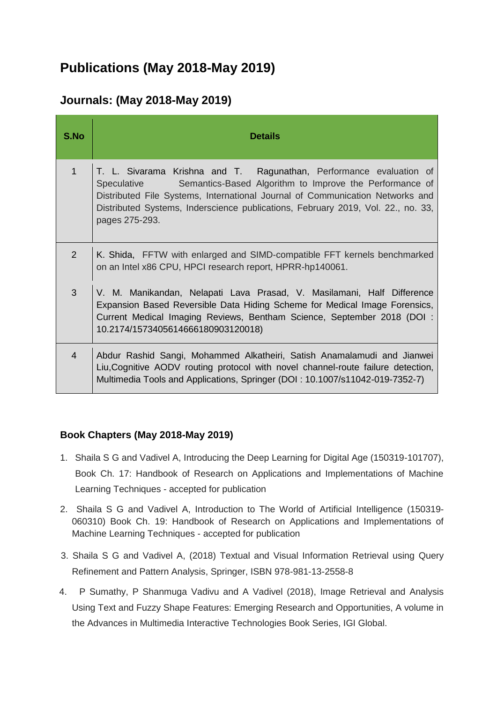## **Publications (May 2018-May 2019)**

## **Journals: (May 2018-May 2019)**

| S.No           | <b>Details</b>                                                                                                                                                                                                                                                                                                                              |
|----------------|---------------------------------------------------------------------------------------------------------------------------------------------------------------------------------------------------------------------------------------------------------------------------------------------------------------------------------------------|
| 1              | T. L. Sivarama Krishna and T. Ragunathan, Performance evaluation of<br>Semantics-Based Algorithm to Improve the Performance of<br><b>Speculative</b><br>Distributed File Systems, International Journal of Communication Networks and<br>Distributed Systems, Inderscience publications, February 2019, Vol. 22., no. 33,<br>pages 275-293. |
| $\overline{2}$ | K. Shida, FFTW with enlarged and SIMD-compatible FFT kernels benchmarked<br>on an Intel x86 CPU, HPCI research report, HPRR-hp140061.                                                                                                                                                                                                       |
| 3              | V. M. Manikandan, Nelapati Lava Prasad, V. Masilamani, Half Difference<br>Expansion Based Reversible Data Hiding Scheme for Medical Image Forensics,<br>Current Medical Imaging Reviews, Bentham Science, September 2018 (DOI :<br>10.2174/1573405614666180903120018)                                                                       |
| $\overline{4}$ | Abdur Rashid Sangi, Mohammed Alkatheiri, Satish Anamalamudi and Jianwei<br>Liu, Cognitive AODV routing protocol with novel channel-route failure detection,<br>Multimedia Tools and Applications, Springer (DOI: 10.1007/s11042-019-7352-7)                                                                                                 |

## **Book Chapters (May 2018-May 2019)**

- 1. Shaila S G and Vadivel A, Introducing the Deep Learning for Digital Age (150319-101707), Book Ch. 17: Handbook of Research on Applications and Implementations of Machine Learning Techniques - accepted for publication
- 2. Shaila S G and Vadivel A, Introduction to The World of Artificial Intelligence (150319- 060310) Book Ch. 19: Handbook of Research on Applications and Implementations of Machine Learning Techniques - accepted for publication
- 3. Shaila S G and Vadivel A, (2018) Textual and Visual Information Retrieval using Query Refinement and Pattern Analysis, Springer, ISBN 978-981-13-2558-8
- 4. P Sumathy, P Shanmuga Vadivu and A Vadivel (2018), Image Retrieval and Analysis Using Text and Fuzzy Shape Features: Emerging Research and Opportunities, A volume in the Advances in Multimedia Interactive Technologies Book Series, IGI Global.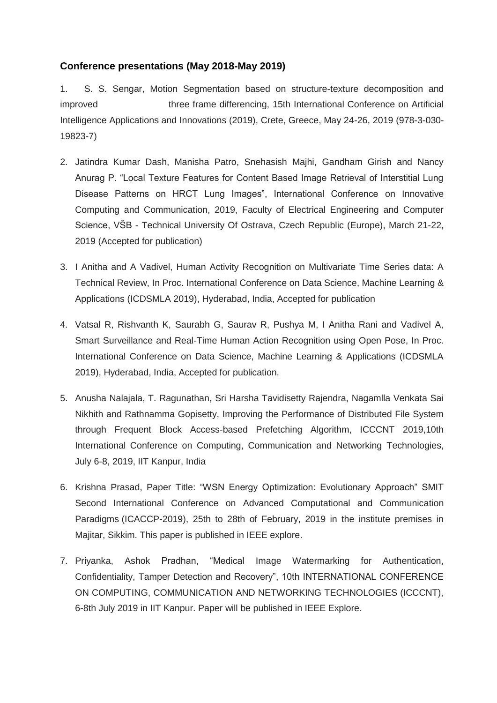## **Conference presentations (May 2018-May 2019)**

1. S. S. Sengar, Motion Segmentation based on structure-texture decomposition and improved three frame differencing, 15th International Conference on Artificial Intelligence Applications and Innovations (2019), Crete, Greece, May 24-26, 2019 (978-3-030- 19823-7)

- 2. Jatindra Kumar Dash, Manisha Patro, Snehasish Majhi, Gandham Girish and Nancy Anurag P. "Local Texture Features for Content Based Image Retrieval of Interstitial Lung Disease Patterns on HRCT Lung Images", International Conference on Innovative Computing and Communication, 2019, Faculty of Electrical Engineering and Computer Science, VŠB - Technical University Of Ostrava, Czech Republic (Europe), March 21-22, 2019 (Accepted for publication)
- 3. I Anitha and A Vadivel, Human Activity Recognition on Multivariate Time Series data: A Technical Review, In Proc. International Conference on Data Science, Machine Learning & Applications (ICDSMLA 2019), Hyderabad, India, Accepted for publication
- 4. Vatsal R, Rishvanth K, Saurabh G, Saurav R, Pushya M, I Anitha Rani and Vadivel A, Smart Surveillance and Real-Time Human Action Recognition using Open Pose, In Proc. International Conference on Data Science, Machine Learning & Applications (ICDSMLA 2019), Hyderabad, India, Accepted for publication.
- 5. Anusha Nalajala, T. Ragunathan, Sri Harsha Tavidisetty Rajendra, Nagamlla Venkata Sai Nikhith and Rathnamma Gopisetty, Improving the Performance of Distributed File System through Frequent Block Access-based Prefetching Algorithm, ICCCNT 2019,10th International Conference on Computing, Communication and Networking Technologies, July 6-8, 2019, IIT Kanpur, India
- 6. Krishna Prasad, Paper Title: "WSN Energy Optimization: Evolutionary Approach" SMIT Second International Conference on Advanced Computational and Communication Paradigms (ICACCP-2019), 25th to 28th of February, 2019 in the institute premises in Majitar, Sikkim. This paper is published in IEEE explore.
- 7. Priyanka, Ashok Pradhan, "Medical Image Watermarking for Authentication, Confidentiality, Tamper Detection and Recovery", 10th INTERNATIONAL CONFERENCE ON COMPUTING, COMMUNICATION AND NETWORKING TECHNOLOGIES (ICCCNT), 6-8th July 2019 in IIT Kanpur. Paper will be published in IEEE Explore.